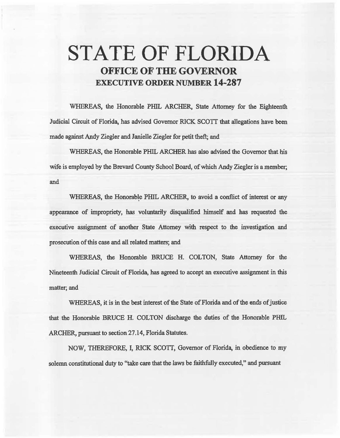# STATE OF FLORIDA OFFICE OF THE GOVERNOR EXECUTIVE ORDER NUMBER 14-287

WHEREAS, the Honorable PHIL ARCHER, State Attorney for the Eighteenth Judicial Circuit of Florida, has advised Governor RICK SCOTI that allegations have been made against Andy Ziegler and Janielle Ziegler for petit theft; and

WHEREAS, the Honorable PffiL ARCHER has also advised the Governor that his wife is employed by the Brevard County School Board, of which Andy Ziegler is a member; and

WHEREAS, the Honorable PHIL ARCHER, to avoid a conflict of interest or any. appearance of impropriety, has voluntarily disqualified himself and has requested the executive assignment of another State Attorney with respect to the investigation and prosecution of this case and aii related matters; and

WHEREAS, the Honorable BRUCE H. COLTON, State Attorney for the Nineteenth Judicial Circuit of Florida, has agreed to accept an executive assigmnent in this matter; and

WHEREAS, it is in the best interest of the State of Florida and of the ends of justice that the Honorable BRUCE H. COLTON discharge the duties of the Honorable PHIL ARCHER, pursuant to section 27.14, Florida Statutes.

NOW, THEREFORE, I, RICK SCOTT, Governor of Florida, in obedience to my solemn constitutional duty to "take care that the laws be faithfully executed," and pursuant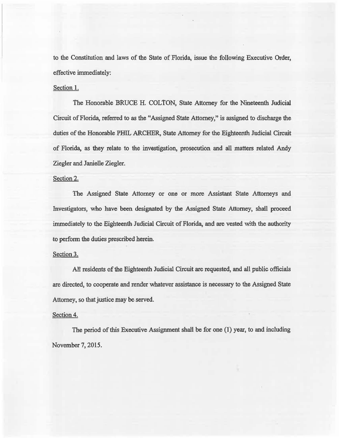to the Constitution and laws of the State of Florida, issue the following Executive Order, effective immediately:

#### Section 1.

The Honorable BRUCE H. COLTON, State Attorney for the Nineteenth Judicial Circuit of Florida, referred to as the "Assigned State Attorney," is assigned to discharge the duties of the Honorable PHIL ARCHER, State Attorney for the Eighteenth Judicial Circuit of Florida, as they relate to the investigation, prosecution and all matters related Andy Ziegler and Janielle Ziegler.

#### Section 2.

The Assigned State Attorney or one or more Assistant State Attorneys and Investigators, who have been designated by the Assigned State Attorney, shall proceed immediately to the Eighteenth Judicial Circuit of Florida, and are vested with the authority to perform the duties prescribed herein.

## Section 3.

All residents of the Eighteenth Judicial Circuit are requested, and all public officials are directed, to cooperate and render whatever assistance is necessary to the Assigned State Attorney, so that justice may be served.

### Section 4.

The period of this Executive Assignment shatl be for one (1) year, to and including November 7, 2015.